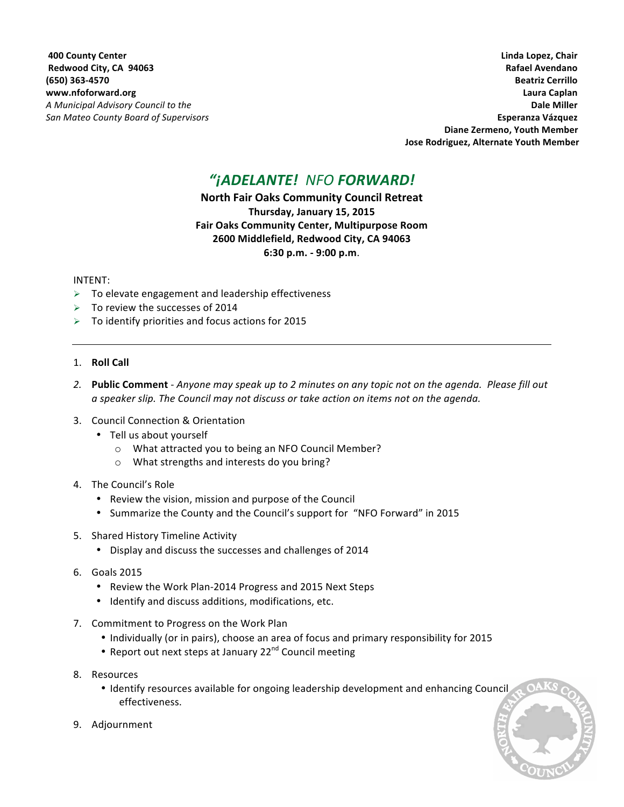**ADD** County Center **County Center** *County Center Chair Chair* **<b>***County Center Chair Chair Chair Chair Chair Chair* **<b>***Chair Chair Chair Chair Chair Chair Chair*  **Redwood City, CA 94063 Rafael Avendano (650) 363-4570 Beatriz Cerrillo www.nfoforward.org Laura Caplan** *A* **Municipal Advisory Council to the <b>a** and the contract of the contract of the contract of the contract of the contract of the contract of the contract of the contract of the contract of the contract of the contract of *San Mateo County Board of Supervisors* **<b>***Company of Company of Company of Company of Company of Company of Company of Company of Company of Company of Company of Company of Company of Company of Company of Company of Com* Diane Zermeno, Youth Member Jose Rodriguez, Alternate Youth Member

# *"¡ADELANTE! NFO FORWARD!*

**North Fair Oaks Community Council Retreat Thursday, January 15, 2015 Fair Oaks Community Center, Multipurpose Room 2600 Middlefield, Redwood City, CA 94063 6:30 p.m. - 9:00 p.m**.

## INTENT:

- $\triangleright$  To elevate engagement and leadership effectiveness
- $\triangleright$  To review the successes of 2014
- $\triangleright$  To identify priorities and focus actions for 2015

## 1. **Roll Call**

- 2. **Public Comment** *Anyone may speak up to 2 minutes on any topic not on the agenda. Please fill out a speaker slip. The Council may not discuss or take action on items not on the agenda.*
- 3. Council Connection & Orientation
	- Tell us about yourself
		- o What attracted you to being an NFO Council Member?
		- $\circ$  What strengths and interests do you bring?
- 4. The Council's Role
	- Review the vision, mission and purpose of the Council
	- Summarize the County and the Council's support for "NFO Forward" in 2015
- 5. Shared History Timeline Activity
	- Display and discuss the successes and challenges of 2014
- 6. Goals 2015
	- Review the Work Plan-2014 Progress and 2015 Next Steps
	- Identify and discuss additions, modifications, etc.
- 7. Commitment to Progress on the Work Plan
	- Individually (or in pairs), choose an area of focus and primary responsibility for 2015
	- Report out next steps at January 22<sup>nd</sup> Council meeting
- 8. Resources
	- Identify resources available for ongoing leadership development and enhancing Council effectiveness.
- 9. Adjournment